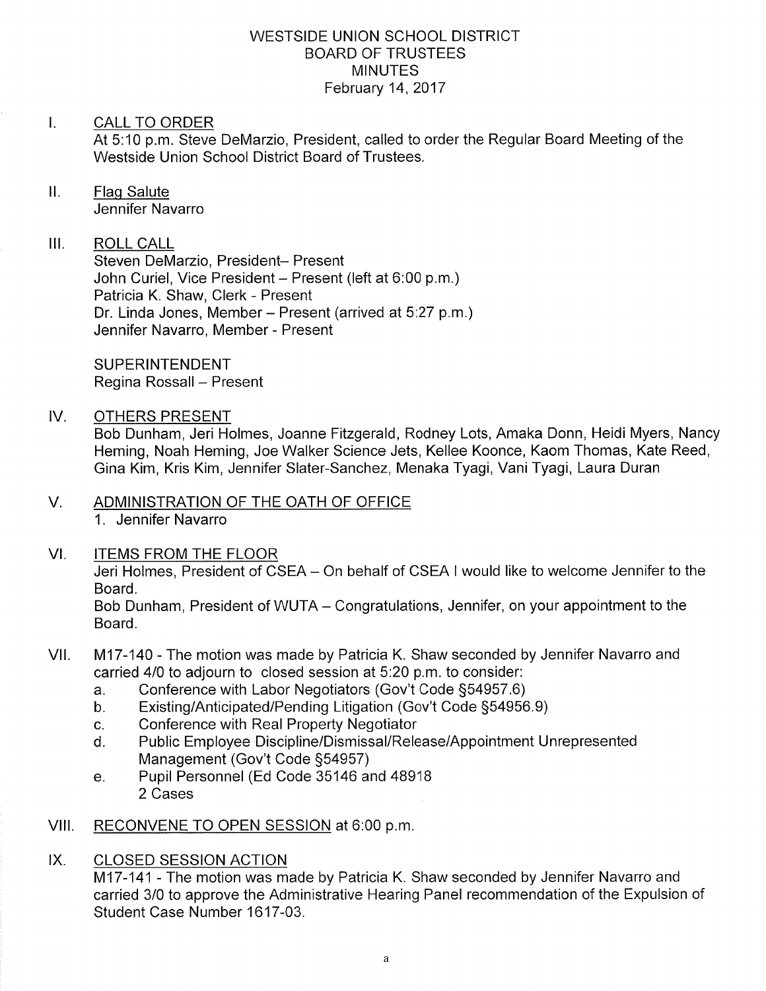### WESTSIDE UNION SCHOOL DISTRICT BOARD OF TRUSTEES **MINUTES** February 14,2017

#### $\mathbf{L}$ CALL TO ORDER

At 5:10 p.m. Steve DeMarzio, President, called to order the Regular Board Meeting of the Westside Union School District Board of Trustees.

# ll. Flaq Salute

Jennifer Navarro

## III. ROLL CALL

Steven DeMarzio, President- Present John Curiel, Vice President - Present (left at 6:00 p.m.) Patricia K. Shaw, Clerk - Present Dr. Linda Jones, Member - Present (arrived at 5:27 p.m.) Jennifer Navarro, Member - Present

**SUPERINTENDENT** Regina Rossall - Present

### IV. OTHERS PRESENT

Bob Dunham, Jeri Holmes, Joanne Fitzgerald, Rodney Lots, Amaka Donn, Heidi Myers, Nancy Heming, Noah Heming, Joe Walker Science Jets, Kellee Koonce, Kaom Thomas, Kate Reed, Gina Kim, Kris Kim, Jennifer Slater-Sanchez, Menaka Tyagi, Vani Tyagi, Laura Duran

### V. ADMINISTRATION OF THE OATH OF OFFICE 1. Jennifer Navarro

VI. ITEMS FROM THE FLOOR

Jeri Holmes, President of CSEA - On behalf of CSEA I would like to welcome Jennifer to the Board.

Bob Dunham, President of WUTA – Congratulations, Jennifer, on your appointment to the Board.

- VII. M17-140 The motion was made by Patricia K. Shaw seconded by Jennifer Navarro and carried 4/0 to adjourn to closed session at 5:20 p.m. to consider:<br>a. Conference with Labor Negotiators (Gov't Code §54957.6)
	-
	- a. Conference with Labor Negotiators (Gov't Code §54957.6)<br>b. Existing/Anticipated/Pending Litigation (Gov't Code §54956.9)<br>c. Conference with Real Property Negotiator
	-
	- c. Conference with Real Property Negotiator<br>d. Public Employee Discipline/Dismissal/Release/Appointment Unrepresented<br>Management (Gov't Code §54957)
	- e. Pupil Personnel (Ed Code 35146 and 48918) 2 Cases

### VIII. RECONVENE TO OPEN SESSION at 6:00 p.m.

### IX. CLOSED SESSION ACTION

M17-141 - The motion was made by Patricia K. Shaw seconded by Jennifer Navarro and carried 3/0 to approve the Administrative Hearing Panel recommendation of the Expulsion of Student Case Number 1617-03.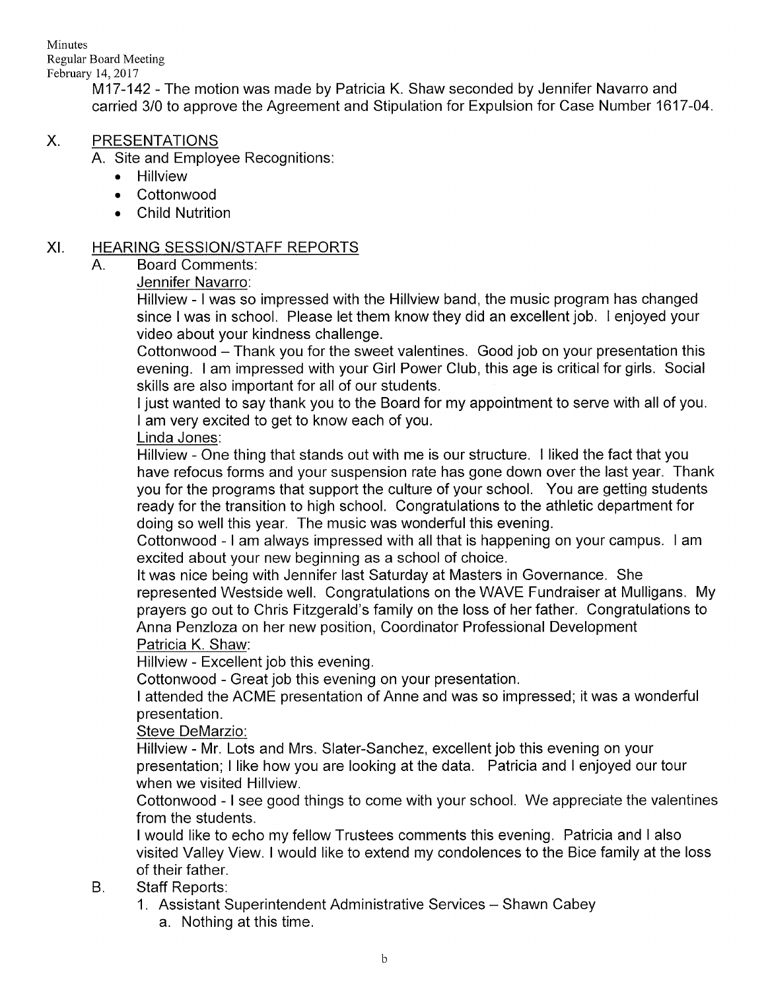Minutes Regular Board Meeting February 14, 2017

M17-142 - The motion was made by Patricia K. Shaw seconded by Jennifer Navarro and carried 3/0 to approve the Agreement and Stipulation for Expulsion for Case Number 1617-04

#### X PRESENTATIONS

A. Site and Employee Recognitions

- . Hillview
- . Cottonwood
- . Child Nutrition

### XI. HEARING SESSION/STAFF REPORTS

A. Board Comments

Jennifer Navarro:

Hillview - I was so impressed with the Hillview band, the music program has changed since I was in school. Please let them know they did an excellent job. I enjoyed your video about your kindness challenge.

Cottonwood - Thank you for the sweet valentines. Good job on your presentation this evening. I am impressed with your Girl Power Club, this age is critical for girls. Social skills are also important for all of our students.

I just wanted to say thank you to the Board for my appointment to serve with all of you. <sup>I</sup>am very excited to get to know each of you.

### Linda Jones:

Hillview - One thing that stands out with me is our structure. I liked the fact that you have refocus forms and your suspension rate has gone down over the last year. Thank you for the programs that support the culture of your school. You are getting students ready for the transition to high school. Congratulations to the athletic department for doing so well this year. The music was wonderful this evening.

Cottonwood - <sup>I</sup>am always impressed with all that is happening on your campus. I am excited about your new beginning as a school of choice.

It was nice being with Jennifer last Saturday at Masters in Governance. She represented Westside well. Congratulations on the WAVE Fundraiser at Mulligans. My prayers go out to Chris Fitzgerald's family on the loss of her father. Congratulations to Anna Penzloza on her new position, Coordinator Professional Development Patricia K. Shaw:

Hillview - Excellent job this evening.

Cottonwood - Great job this evening on your presentation.

<sup>I</sup>attended the ACME presentation of Anne and was so impressed; it was a wonderful presentation.

Steve DeMarzio:

Hillview - Mr. Lots and Mrs. Slater-Sanchez, excellent job this evening on your presentation; I like how you are looking at the data. Patricia and I enjoyed our tour when we visited Hillview.

Cottonwood - <sup>I</sup>see good things to come with your school. We appreciate the valentines from the students.

<sup>I</sup>would like to echo my fellow Trustees comments this evening. Patricia and I also visited Valley View. I would like to extend my condolences to the Bice family at the loss of their father.

#### Staff Reports: B.

1. Assistant Superintendent Administrative Services - Shawn Cabey a. Nothing at this time.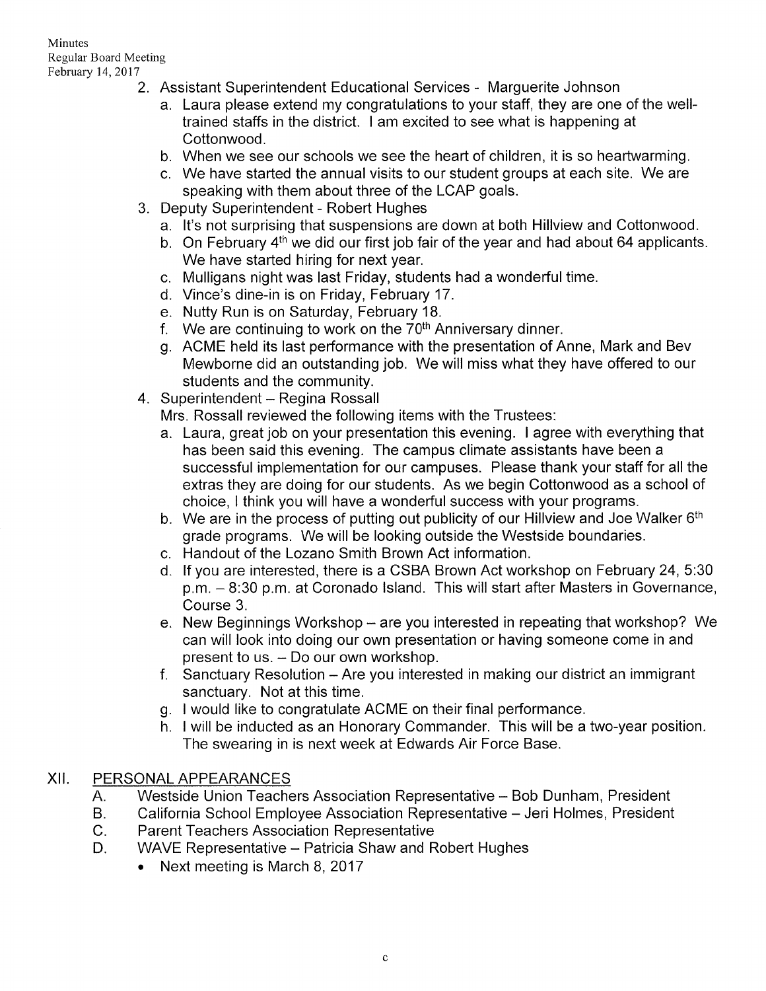### Minutes Regular Board Meeting February 14,2017

- 2. Assistant Superintendent Educational Services Marguerite Johnson
	- a. Laura please extend my congratulations to your staff, they are one of the welltrained staffs in the district. I am excited to see what is happening at Cottonwood.
	- b. When we see our schools we see the heart of children, it is so heartwarming.
	- c. We have stafted the annual visits to our student groups at each site. We are speaking with them about three of the LCAP goals.
- 3. Deputy Superintendent Robert Hughes
	- a. lt's not surprising that suspensions are down at both Hillview and Cottonwood.
	- b. On February 4<sup>th</sup> we did our first job fair of the year and had about 64 applicants. We have started hiring for next year.
	- c. Mulligans night was last Friday, students had a wonderful time.
	- d. Vince's dine-in is on Friday, February 17.
	- e. Nutty Run is on Saturday, February 18.
	- f. We are continuing to work on the  $70<sup>th</sup>$  Anniversary dinner.
	- g ACME held its last performance with the presentation of Anne, Mark and Bev Mewborne did an outstanding job. We will miss what they have offered to our
- students and the community.<br>4. Superintendent Regina Rossall

Mrs. Rossall reviewed the following items with the Trustees:

- a. Laura, great job on your presentation this evening. I agree with everything that has been said this evening. The campus climate assistants have been a successful implementation for our campuses. Please thank your staff for all the extras they are doing for our students. As we begin Cottonwood as a school of choice, I think you will have a wonderful success with your programs.
- b. We are in the process of putting out publicity of our Hillview and Joe Walker  $6<sup>th</sup>$ grade programs. We will be looking outside the Westside boundaries.
- c. Handout of the Lozano Smith Brown Act information.
- d. lf you are interested, there is a CSBA Brown Act workshop on February 24, 5:30 p.m. - 8:30 p.m. at Coronado Island. This will start after Masters in Governance, Course 3.
- e. New Beginnings Workshop are you interested in repeating that workshop? We can will look into doing our own presentation or having someone come in and present to us. - Do our own workshop.
- f. Sanctuary Resolution Are you interested in making our district an immigrant sanctuary. Not at this time.
- 
- g. I would like to congratulate ACME on their final performance.<br>h. I will be inducted as an Honorary Commander. This will be a two-year position. The swearing in is next week at Edwards Air Force Base.

## XII. PERSONALAPPEARANCES

- Westside Union Teachers Association Representative Bob Dunham, President A.
- California School Employee Association Representative Jeri Holmes, President  $B<sub>1</sub>$
- Parent Teachers Association Representative  $C_{1}$
- WAVE Representative Patricia Shaw and Robert Hughes D.
	- Next meeting is March 8, 2017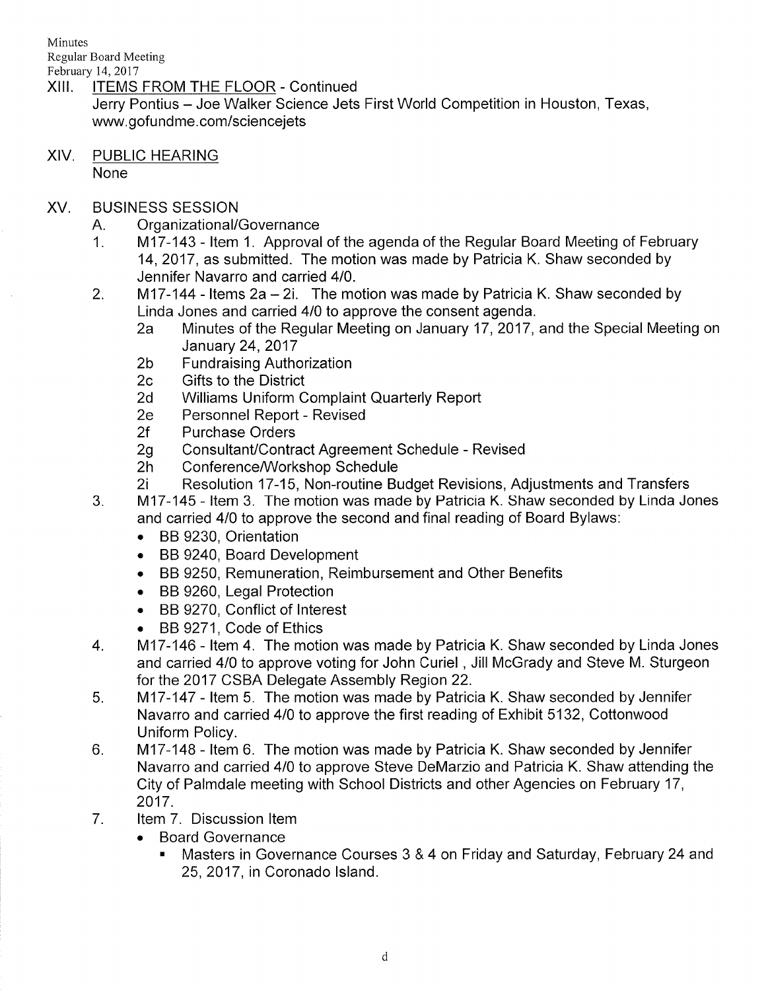Minutes Regular Board Meeting

- February 14,2011 XIII. ITEMS FROM THE FLOOR - Continued Jerry Pontius - Joe Walker Science Jets First World Competition in Houston, Texas, www.gofundme.com/sciencejets
- XIV. PUBLIC HEARING None
- XV. BUSINESS SESSION
	-
	- A. Organizational/Governance<br>1. 1. 117-143 Item 1. Approval of the agenda of the Regular Board Meeting of February 14,2017, as submitted. The motion was made by Patricia K. Shaw seconded by Jennifer Navarro and carried 410.
	- 2. M17-144 Items 2a 2i. The motion was made by Patricia K. Shaw seconded by Linda Jones and carried 4/0 to approve the consent agenda.
		- 2a Minutes of the Regular Meeting on January 17, 2017, and the Special Meeting on
		- January 24, 2017<br>2b Fundraising Authorization<br>2c Gifts to the District
		-
		- 2d Williams Uniform Complaint Quarterly Report<br>2e Personnel Report Revised<br>2f Purchase Orders
		-
		-
		-
		-
	- 2g Consultant/Contract Agreement Schedule Revised<br>2h Conference/Workshop Schedule<br>2i Resolution 17-15, Non-routine Budget Revisions, Adjustments and Transfers<br>3. M17-145 Item 3. The motion was made by Patricia K. Shaw
	- and carried 410 to approve the second and final reading of Board Bylaws:
		- . BB 9230, Orientation
		- . BB 9240, Board Development
		- . BB 9250, Remuneration, Reimbursement and Other Benefits
		- . BB 9260, Legal Protection
		- . BB 9270, Conflict of lnterest
		-
	- BB 9271, Code of Ethics <br>4. M17-146 Item 4. The motion was made by Patricia K. Shaw seconded by Linda Jones and carried 4/0 to approve voting for John Curiel, Jill McGrady and Steve M. Sturgeon for the 2017 CSBA Delegate Assembly Region 22.
	- 5. M17-147 Item 5. The motion was made by Patricia K. Shaw seconded by Jennifer Navarro and carried 410 to approve the first reading of Exhibit 5132, Cottonwood Uniform Policy.<br>6. ftem 6. The motion was made by Patricia K. Shaw seconded by Jennifer
	- Navarro and carried 410 to approve Steve DeMarzio and Patricia K. Shaw attending the City of Palmdale meeting with School Districts and other Agencies on February 17, 2017.
	- 7. ltem 7. Discussion ltem
		- . Board Governance
			- . Masters in Governance Courses 3 & 4 on Friday and Saturday, February 24 and 25,2017, in Coronado lsland.